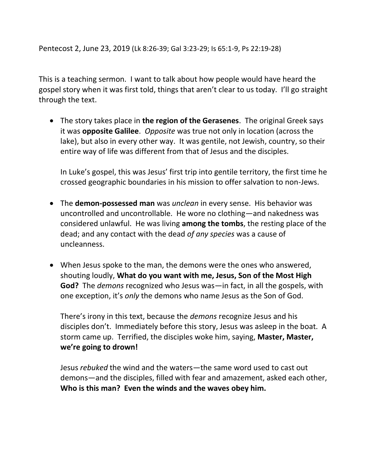Pentecost 2, June 23, 2019 (Lk 8:26-39; Gal 3:23-29; Is 65:1-9, Ps 22:19-28)

This is a teaching sermon. I want to talk about how people would have heard the gospel story when it was first told, things that aren't clear to us today. I'll go straight through the text.

• The story takes place in **the region of the Gerasenes**. The original Greek says it was **opposite Galilee**. *Opposite* was true not only in location (across the lake), but also in every other way. It was gentile, not Jewish, country, so their entire way of life was different from that of Jesus and the disciples.

In Luke's gospel, this was Jesus' first trip into gentile territory, the first time he crossed geographic boundaries in his mission to offer salvation to non-Jews.

- The **demon-possessed man** was *unclean* in every sense. His behavior was uncontrolled and uncontrollable. He wore no clothing—and nakedness was considered unlawful. He was living **among the tombs**, the resting place of the dead; and any contact with the dead *of any species* was a cause of uncleanness.
- When Jesus spoke to the man, the demons were the ones who answered, shouting loudly, **What do you want with me, Jesus, Son of the Most High God?** The *demons* recognized who Jesus was—in fact, in all the gospels, with one exception, it's *only* the demons who name Jesus as the Son of God.

There's irony in this text, because the *demons* recognize Jesus and his disciples don't. Immediately before this story, Jesus was asleep in the boat. A storm came up. Terrified, the disciples woke him, saying, **Master, Master, we're going to drown!**

Jesus *rebuked* the wind and the waters—the same word used to cast out demons—and the disciples, filled with fear and amazement, asked each other, **Who is this man? Even the winds and the waves obey him.**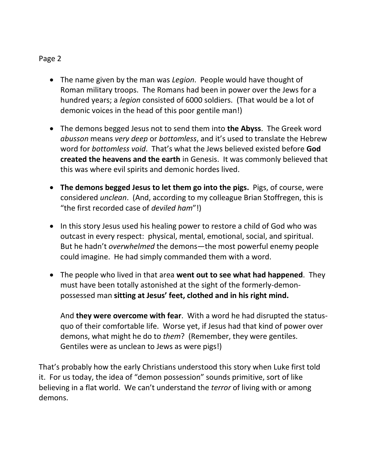## Page 2

- The name given by the man was *Legion*. People would have thought of Roman military troops. The Romans had been in power over the Jews for a hundred years; a *legion* consisted of 6000 soldiers. (That would be a lot of demonic voices in the head of this poor gentile man!)
- The demons begged Jesus not to send them into **the Abyss**. The Greek word *abusson* means *very deep* or *bottomless*, and it's used to translate the Hebrew word for *bottomless void*. That's what the Jews believed existed before **God created the heavens and the earth** in Genesis. It was commonly believed that this was where evil spirits and demonic hordes lived.
- **The demons begged Jesus to let them go into the pigs.** Pigs, of course, were considered *unclean*. (And, according to my colleague Brian Stoffregen, this is "the first recorded case of *deviled ham*"!)
- In this story Jesus used his healing power to restore a child of God who was outcast in every respect: physical, mental, emotional, social, and spiritual. But he hadn't *overwhelmed* the demons—the most powerful enemy people could imagine. He had simply commanded them with a word.
- The people who lived in that area **went out to see what had happened**. They must have been totally astonished at the sight of the formerly-demonpossessed man **sitting at Jesus' feet, clothed and in his right mind.**

And **they were overcome with fear**. With a word he had disrupted the statusquo of their comfortable life. Worse yet, if Jesus had that kind of power over demons, what might he do to *them*? (Remember, they were gentiles. Gentiles were as unclean to Jews as were pigs!)

That's probably how the early Christians understood this story when Luke first told it. For us today, the idea of "demon possession" sounds primitive, sort of like believing in a flat world. We can't understand the *terror* of living with or among demons.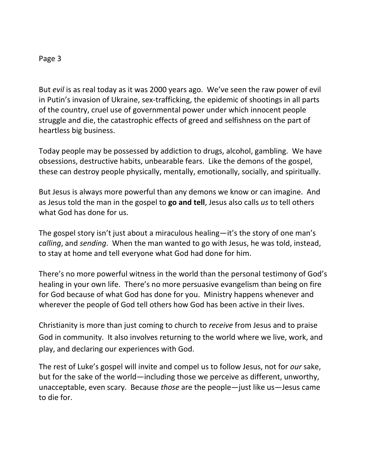## Page 3

But *evil* is as real today as it was 2000 years ago. We've seen the raw power of evil in Putin's invasion of Ukraine, sex-trafficking, the epidemic of shootings in all parts of the country, cruel use of governmental power under which innocent people struggle and die, the catastrophic effects of greed and selfishness on the part of heartless big business.

Today people may be possessed by addiction to drugs, alcohol, gambling. We have obsessions, destructive habits, unbearable fears. Like the demons of the gospel, these can destroy people physically, mentally, emotionally, socially, and spiritually.

But Jesus is always more powerful than any demons we know or can imagine. And as Jesus told the man in the gospel to **go and tell**, Jesus also calls *us* to tell others what God has done for us.

The gospel story isn't just about a miraculous healing—it's the story of one man's *calling*, and *sending*. When the man wanted to go with Jesus, he was told, instead, to stay at home and tell everyone what God had done for him.

There's no more powerful witness in the world than the personal testimony of God's healing in your own life. There's no more persuasive evangelism than being on fire for God because of what God has done for you. Ministry happens whenever and wherever the people of God tell others how God has been active in their lives.

Christianity is more than just coming to church to *receive* from Jesus and to praise God in community. It also involves returning to the world where we live, work, and play, and declaring our experiences with God.

The rest of Luke's gospel will invite and compel us to follow Jesus, not for *our* sake, but for the sake of the world—including those we perceive as different, unworthy, unacceptable, even scary. Because *those* are the people—just like us—Jesus came to die for.